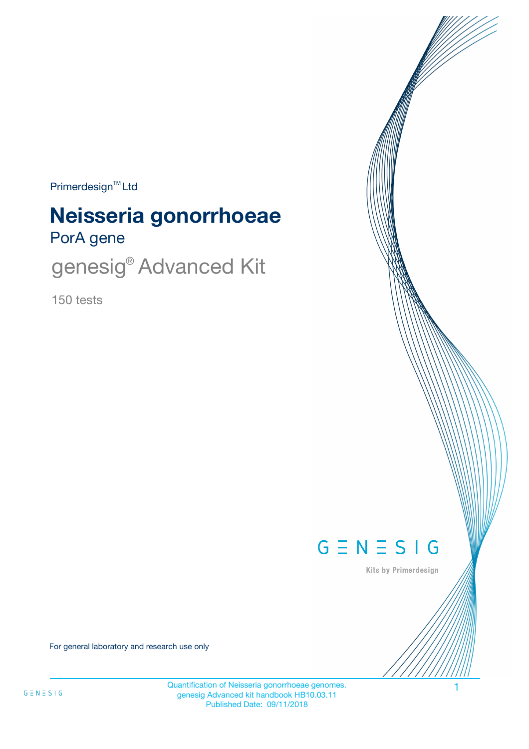$Primerdesign<sup>™</sup>Ltd$ 

# PorA gene **Neisseria gonorrhoeae**

genesig<sup>®</sup> Advanced Kit

150 tests



Kits by Primerdesign

For general laboratory and research use only

Quantification of Neisseria gonorrhoeae genomes. 1 genesig Advanced kit handbook HB10.03.11 Published Date: 09/11/2018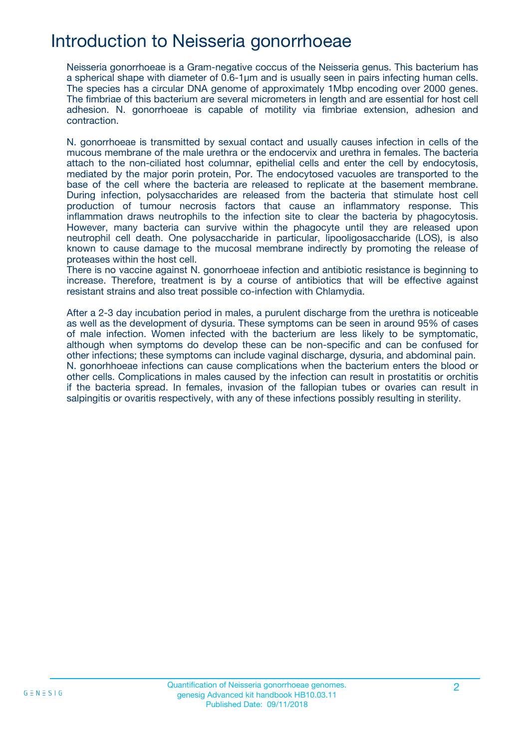## Introduction to Neisseria gonorrhoeae

Neisseria gonorrhoeae is a Gram-negative coccus of the Neisseria genus. This bacterium has a spherical shape with diameter of 0.6-1μm and is usually seen in pairs infecting human cells. The species has a circular DNA genome of approximately 1Mbp encoding over 2000 genes. The fimbriae of this bacterium are several micrometers in length and are essential for host cell adhesion. N. gonorrhoeae is capable of motility via fimbriae extension, adhesion and contraction.

N. gonorrhoeae is transmitted by sexual contact and usually causes infection in cells of the mucous membrane of the male urethra or the endocervix and urethra in females. The bacteria attach to the non-ciliated host columnar, epithelial cells and enter the cell by endocytosis, mediated by the major porin protein, Por. The endocytosed vacuoles are transported to the base of the cell where the bacteria are released to replicate at the basement membrane. During infection, polysaccharides are released from the bacteria that stimulate host cell production of tumour necrosis factors that cause an inflammatory response. This inflammation draws neutrophils to the infection site to clear the bacteria by phagocytosis. However, many bacteria can survive within the phagocyte until they are released upon neutrophil cell death. One polysaccharide in particular, lipooligosaccharide (LOS), is also known to cause damage to the mucosal membrane indirectly by promoting the release of proteases within the host cell.

There is no vaccine against N. gonorrhoeae infection and antibiotic resistance is beginning to increase. Therefore, treatment is by a course of antibiotics that will be effective against resistant strains and also treat possible co-infection with Chlamydia.

After a 2-3 day incubation period in males, a purulent discharge from the urethra is noticeable as well as the development of dysuria. These symptoms can be seen in around 95% of cases of male infection. Women infected with the bacterium are less likely to be symptomatic, although when symptoms do develop these can be non-specific and can be confused for other infections; these symptoms can include vaginal discharge, dysuria, and abdominal pain. N. gonorhhoeae infections can cause complications when the bacterium enters the blood or other cells. Complications in males caused by the infection can result in prostatitis or orchitis if the bacteria spread. In females, invasion of the fallopian tubes or ovaries can result in salpingitis or ovaritis respectively, with any of these infections possibly resulting in sterility.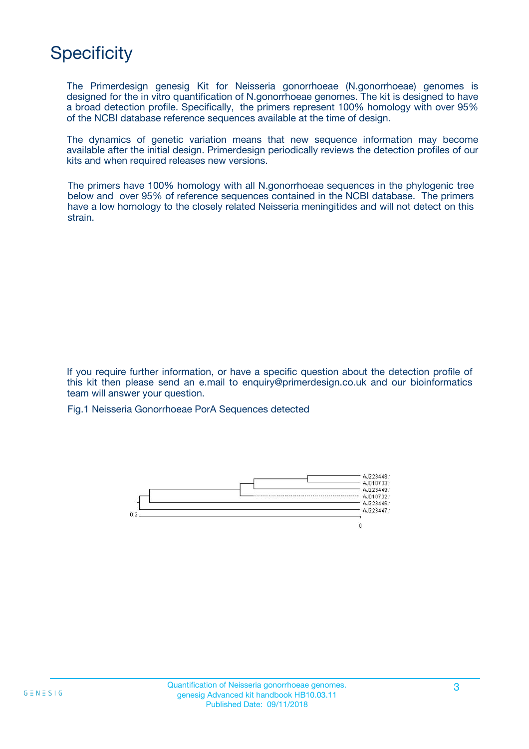## **Specificity**

The Primerdesign genesig Kit for Neisseria gonorrhoeae (N.gonorrhoeae) genomes is designed for the in vitro quantification of N.gonorrhoeae genomes. The kit is designed to have a broad detection profile. Specifically, the primers represent 100% homology with over 95% of the NCBI database reference sequences available at the time of design.

The dynamics of genetic variation means that new sequence information may become available after the initial design. Primerdesign periodically reviews the detection profiles of our kits and when required releases new versions.

The primers have 100% homology with all N.gonorrhoeae sequences in the phylogenic tree below and over 95% of reference sequences contained in the NCBI database. The primers have a low homology to the closely related Neisseria meningitides and will not detect on this strain.

If you require further information, or have a specific question about the detection profile of this kit then please send an e.mail to enquiry@primerdesign.co.uk and our bioinformatics team will answer your question.

Fig.1 Neisseria Gonorrhoeae PorA Sequences detected

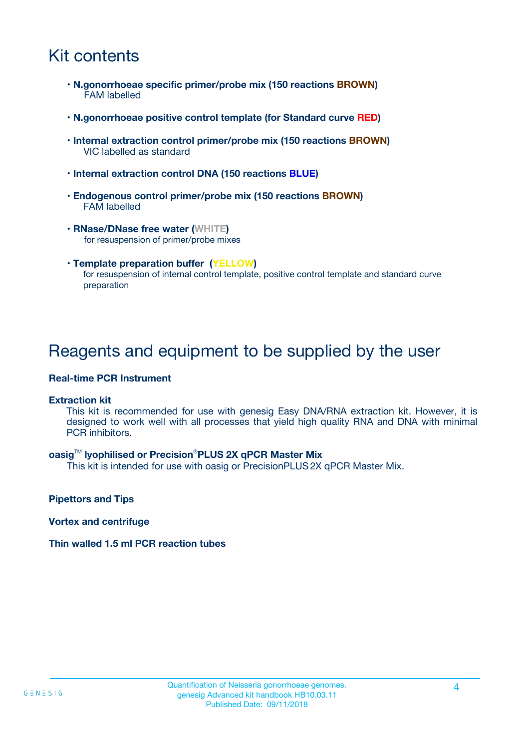## Kit contents

- **N.gonorrhoeae specific primer/probe mix (150 reactions BROWN)** FAM labelled
- **N.gonorrhoeae positive control template (for Standard curve RED)**
- **Internal extraction control primer/probe mix (150 reactions BROWN)** VIC labelled as standard
- **Internal extraction control DNA (150 reactions BLUE)**
- **Endogenous control primer/probe mix (150 reactions BROWN)** FAM labelled
- **RNase/DNase free water (WHITE)** for resuspension of primer/probe mixes
- **Template preparation buffer (YELLOW)** for resuspension of internal control template, positive control template and standard curve preparation

### Reagents and equipment to be supplied by the user

#### **Real-time PCR Instrument**

#### **Extraction kit**

This kit is recommended for use with genesig Easy DNA/RNA extraction kit. However, it is designed to work well with all processes that yield high quality RNA and DNA with minimal PCR inhibitors.

#### **oasig**TM **lyophilised or Precision**®**PLUS 2X qPCR Master Mix**

This kit is intended for use with oasig or PrecisionPLUS2X qPCR Master Mix.

**Pipettors and Tips**

**Vortex and centrifuge**

#### **Thin walled 1.5 ml PCR reaction tubes**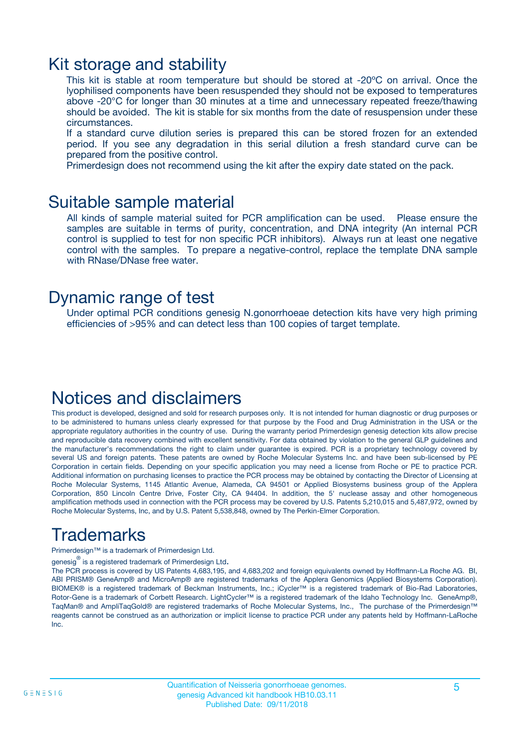### Kit storage and stability

This kit is stable at room temperature but should be stored at -20ºC on arrival. Once the lyophilised components have been resuspended they should not be exposed to temperatures above -20°C for longer than 30 minutes at a time and unnecessary repeated freeze/thawing should be avoided. The kit is stable for six months from the date of resuspension under these circumstances.

If a standard curve dilution series is prepared this can be stored frozen for an extended period. If you see any degradation in this serial dilution a fresh standard curve can be prepared from the positive control.

Primerdesign does not recommend using the kit after the expiry date stated on the pack.

### Suitable sample material

All kinds of sample material suited for PCR amplification can be used. Please ensure the samples are suitable in terms of purity, concentration, and DNA integrity (An internal PCR control is supplied to test for non specific PCR inhibitors). Always run at least one negative control with the samples. To prepare a negative-control, replace the template DNA sample with RNase/DNase free water.

### Dynamic range of test

Under optimal PCR conditions genesig N.gonorrhoeae detection kits have very high priming efficiencies of >95% and can detect less than 100 copies of target template.

## Notices and disclaimers

This product is developed, designed and sold for research purposes only. It is not intended for human diagnostic or drug purposes or to be administered to humans unless clearly expressed for that purpose by the Food and Drug Administration in the USA or the appropriate regulatory authorities in the country of use. During the warranty period Primerdesign genesig detection kits allow precise and reproducible data recovery combined with excellent sensitivity. For data obtained by violation to the general GLP guidelines and the manufacturer's recommendations the right to claim under guarantee is expired. PCR is a proprietary technology covered by several US and foreign patents. These patents are owned by Roche Molecular Systems Inc. and have been sub-licensed by PE Corporation in certain fields. Depending on your specific application you may need a license from Roche or PE to practice PCR. Additional information on purchasing licenses to practice the PCR process may be obtained by contacting the Director of Licensing at Roche Molecular Systems, 1145 Atlantic Avenue, Alameda, CA 94501 or Applied Biosystems business group of the Applera Corporation, 850 Lincoln Centre Drive, Foster City, CA 94404. In addition, the 5' nuclease assay and other homogeneous amplification methods used in connection with the PCR process may be covered by U.S. Patents 5,210,015 and 5,487,972, owned by Roche Molecular Systems, Inc, and by U.S. Patent 5,538,848, owned by The Perkin-Elmer Corporation.

## Trademarks

Primerdesign™ is a trademark of Primerdesign Ltd.

genesig $^\circledR$  is a registered trademark of Primerdesign Ltd.

The PCR process is covered by US Patents 4,683,195, and 4,683,202 and foreign equivalents owned by Hoffmann-La Roche AG. BI, ABI PRISM® GeneAmp® and MicroAmp® are registered trademarks of the Applera Genomics (Applied Biosystems Corporation). BIOMEK® is a registered trademark of Beckman Instruments, Inc.; iCycler™ is a registered trademark of Bio-Rad Laboratories, Rotor-Gene is a trademark of Corbett Research. LightCycler™ is a registered trademark of the Idaho Technology Inc. GeneAmp®, TaqMan® and AmpliTaqGold® are registered trademarks of Roche Molecular Systems, Inc., The purchase of the Primerdesign™ reagents cannot be construed as an authorization or implicit license to practice PCR under any patents held by Hoffmann-LaRoche Inc.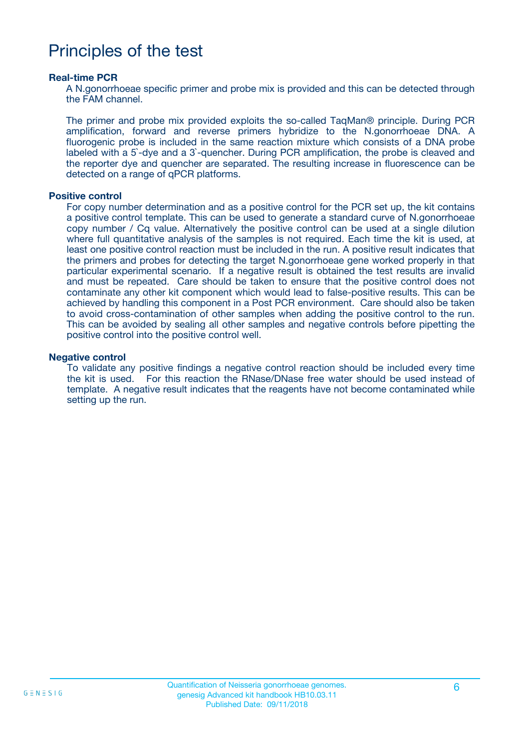### Principles of the test

#### **Real-time PCR**

A N.gonorrhoeae specific primer and probe mix is provided and this can be detected through the FAM channel.

The primer and probe mix provided exploits the so-called TaqMan® principle. During PCR amplification, forward and reverse primers hybridize to the N.gonorrhoeae DNA. A fluorogenic probe is included in the same reaction mixture which consists of a DNA probe labeled with a 5`-dye and a 3`-quencher. During PCR amplification, the probe is cleaved and the reporter dye and quencher are separated. The resulting increase in fluorescence can be detected on a range of qPCR platforms.

#### **Positive control**

For copy number determination and as a positive control for the PCR set up, the kit contains a positive control template. This can be used to generate a standard curve of N.gonorrhoeae copy number / Cq value. Alternatively the positive control can be used at a single dilution where full quantitative analysis of the samples is not required. Each time the kit is used, at least one positive control reaction must be included in the run. A positive result indicates that the primers and probes for detecting the target N.gonorrhoeae gene worked properly in that particular experimental scenario. If a negative result is obtained the test results are invalid and must be repeated. Care should be taken to ensure that the positive control does not contaminate any other kit component which would lead to false-positive results. This can be achieved by handling this component in a Post PCR environment. Care should also be taken to avoid cross-contamination of other samples when adding the positive control to the run. This can be avoided by sealing all other samples and negative controls before pipetting the positive control into the positive control well.

#### **Negative control**

To validate any positive findings a negative control reaction should be included every time the kit is used. For this reaction the RNase/DNase free water should be used instead of template. A negative result indicates that the reagents have not become contaminated while setting up the run.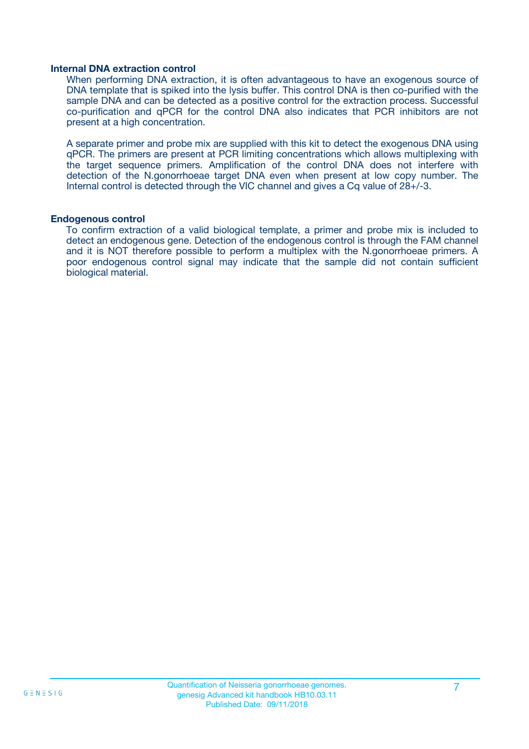#### **Internal DNA extraction control**

When performing DNA extraction, it is often advantageous to have an exogenous source of DNA template that is spiked into the lysis buffer. This control DNA is then co-purified with the sample DNA and can be detected as a positive control for the extraction process. Successful co-purification and qPCR for the control DNA also indicates that PCR inhibitors are not present at a high concentration.

A separate primer and probe mix are supplied with this kit to detect the exogenous DNA using qPCR. The primers are present at PCR limiting concentrations which allows multiplexing with the target sequence primers. Amplification of the control DNA does not interfere with detection of the N.gonorrhoeae target DNA even when present at low copy number. The Internal control is detected through the VIC channel and gives a Cq value of 28+/-3.

#### **Endogenous control**

To confirm extraction of a valid biological template, a primer and probe mix is included to detect an endogenous gene. Detection of the endogenous control is through the FAM channel and it is NOT therefore possible to perform a multiplex with the N.gonorrhoeae primers. A poor endogenous control signal may indicate that the sample did not contain sufficient biological material.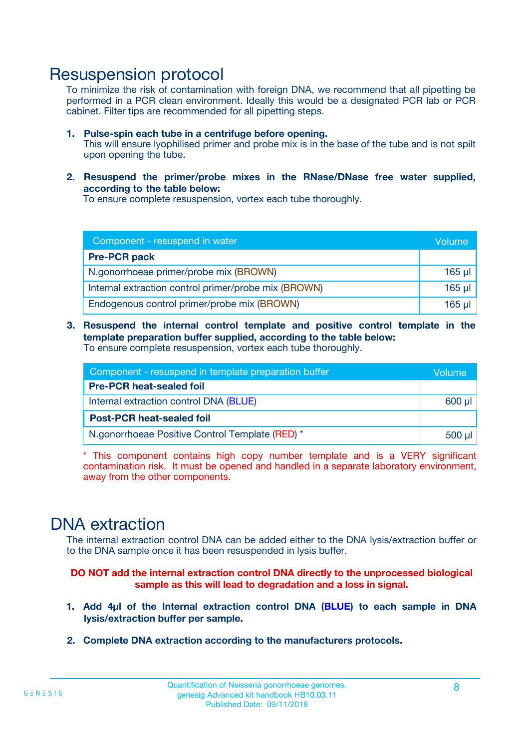### Resuspension protocol

To minimize the risk of contamination with foreign DNA, we recommend that all pipetting be performed in a PCR clean environment. Ideally this would be a designated PCR lab or PCR cabinet. Filter tips are recommended for all pipetting steps.

- **1. Pulse-spin each tube in a centrifuge before opening.** This will ensure lyophilised primer and probe mix is in the base of the tube and is not spilt upon opening the tube.
- **2. Resuspend the primer/probe mixes in the RNase/DNase free water supplied, according to the table below:**

To ensure complete resuspension, vortex each tube thoroughly.

| Component - resuspend in water                       |          |  |
|------------------------------------------------------|----------|--|
| <b>Pre-PCR pack</b>                                  |          |  |
| N.gonorrhoeae primer/probe mix (BROWN)               | $165$ µl |  |
| Internal extraction control primer/probe mix (BROWN) | $165$ µl |  |
| Endogenous control primer/probe mix (BROWN)          | 165 µl   |  |

**3. Resuspend the internal control template and positive control template in the template preparation buffer supplied, according to the table below:** To ensure complete resuspension, vortex each tube thoroughly.

| Component - resuspend in template preparation buffer |  |  |  |
|------------------------------------------------------|--|--|--|
| <b>Pre-PCR heat-sealed foil</b>                      |  |  |  |
| Internal extraction control DNA (BLUE)               |  |  |  |
| <b>Post-PCR heat-sealed foil</b>                     |  |  |  |
| N.gonorrhoeae Positive Control Template (RED) *      |  |  |  |

\* This component contains high copy number template and is a VERY significant contamination risk. It must be opened and handled in a separate laboratory environment, away from the other components.

### DNA extraction

The internal extraction control DNA can be added either to the DNA lysis/extraction buffer or to the DNA sample once it has been resuspended in lysis buffer.

**DO NOT add the internal extraction control DNA directly to the unprocessed biological sample as this will lead to degradation and a loss in signal.**

- **1. Add 4µl of the Internal extraction control DNA (BLUE) to each sample in DNA lysis/extraction buffer per sample.**
- **2. Complete DNA extraction according to the manufacturers protocols.**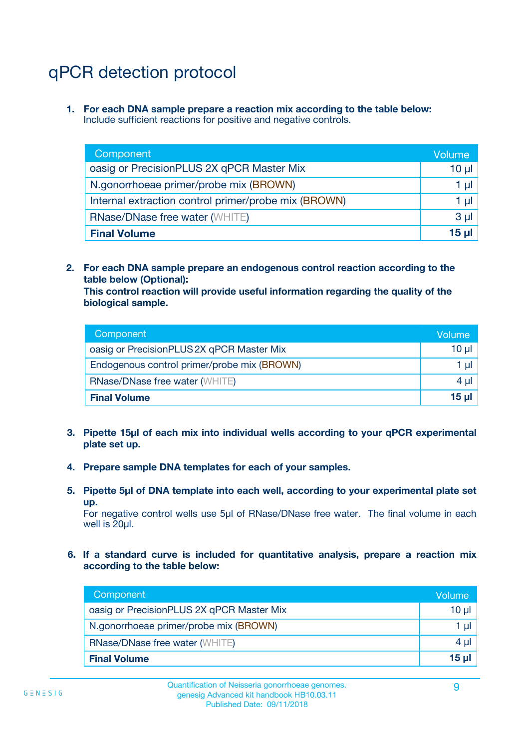# qPCR detection protocol

**1. For each DNA sample prepare a reaction mix according to the table below:** Include sufficient reactions for positive and negative controls.

| Component                                            | Volume   |
|------------------------------------------------------|----------|
| oasig or PrecisionPLUS 2X qPCR Master Mix            | $10 \mu$ |
| N.gonorrhoeae primer/probe mix (BROWN)               | 1 µI l   |
| Internal extraction control primer/probe mix (BROWN) | 1 µl     |
| <b>RNase/DNase free water (WHITE)</b>                | $3 \mu$  |
| <b>Final Volume</b>                                  | 15 µl    |

**2. For each DNA sample prepare an endogenous control reaction according to the table below (Optional):**

**This control reaction will provide useful information regarding the quality of the biological sample.**

| Component                                   | Volume          |
|---------------------------------------------|-----------------|
| oasig or PrecisionPLUS 2X qPCR Master Mix   | $10 \mu$        |
| Endogenous control primer/probe mix (BROWN) | 1 µI            |
| <b>RNase/DNase free water (WHITE)</b>       | 4 µl            |
| <b>Final Volume</b>                         | 15 <sub>µ</sub> |

- **3. Pipette 15µl of each mix into individual wells according to your qPCR experimental plate set up.**
- **4. Prepare sample DNA templates for each of your samples.**
- **5. Pipette 5µl of DNA template into each well, according to your experimental plate set up.**

For negative control wells use 5µl of RNase/DNase free water. The final volume in each well is 20ul.

**6. If a standard curve is included for quantitative analysis, prepare a reaction mix according to the table below:**

| Component                                 | Volume          |
|-------------------------------------------|-----------------|
| oasig or PrecisionPLUS 2X qPCR Master Mix | 10 $\mu$        |
| N.gonorrhoeae primer/probe mix (BROWN)    | 1 µI            |
| <b>RNase/DNase free water (WHITE)</b>     | $4 \mu$         |
| <b>Final Volume</b>                       | 15 <sub>µ</sub> |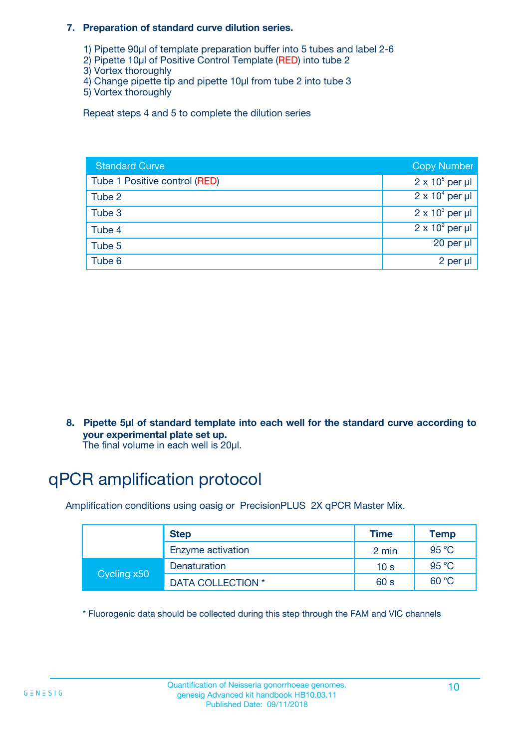#### **7. Preparation of standard curve dilution series.**

- 1) Pipette 90µl of template preparation buffer into 5 tubes and label 2-6
- 2) Pipette 10µl of Positive Control Template (RED) into tube 2
- 3) Vortex thoroughly
- 4) Change pipette tip and pipette 10µl from tube 2 into tube 3
- 5) Vortex thoroughly

Repeat steps 4 and 5 to complete the dilution series

| <b>Standard Curve</b>         | <b>Copy Number</b>     |
|-------------------------------|------------------------|
| Tube 1 Positive control (RED) | $2 \times 10^5$ per µl |
| Tube 2                        | $2 \times 10^4$ per µl |
| Tube 3                        | $2 \times 10^3$ per µl |
| Tube 4                        | $2 \times 10^2$ per µl |
| Tube 5                        | 20 per µl              |
| Tube 6                        | 2 per µl               |

**8. Pipette 5µl of standard template into each well for the standard curve according to your experimental plate set up.**

#### The final volume in each well is 20µl.

## qPCR amplification protocol

Amplification conditions using oasig or PrecisionPLUS 2X qPCR Master Mix.

|             | <b>Step</b>       | <b>Time</b>     | Temp    |
|-------------|-------------------|-----------------|---------|
|             | Enzyme activation | 2 min           | 95 °C   |
| Cycling x50 | Denaturation      | 10 <sub>s</sub> | 95 $°C$ |
|             | DATA COLLECTION * | 60 s            | 60 °C   |

\* Fluorogenic data should be collected during this step through the FAM and VIC channels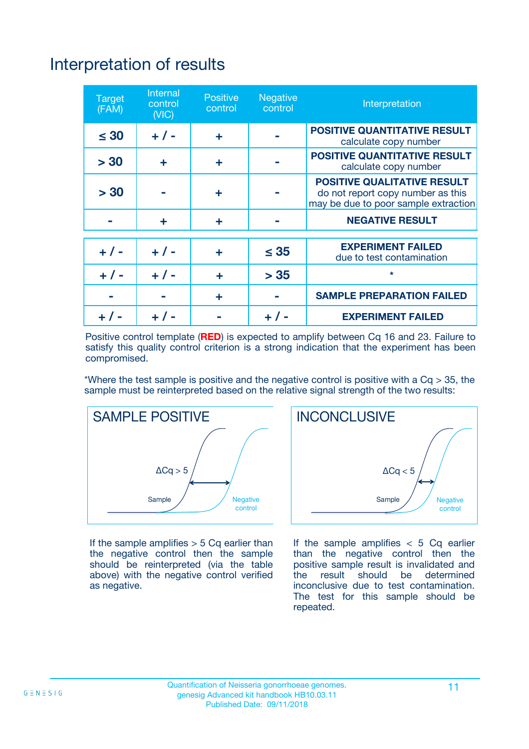# Interpretation of results

| <b>Target</b><br>(FAM) | <b>Internal</b><br>control<br>(NIC) | <b>Positive</b><br>control | <b>Negative</b><br>control | Interpretation                                                                                                  |
|------------------------|-------------------------------------|----------------------------|----------------------------|-----------------------------------------------------------------------------------------------------------------|
| $\leq 30$              | $+ 1 -$                             | ÷                          |                            | <b>POSITIVE QUANTITATIVE RESULT</b><br>calculate copy number                                                    |
| > 30                   | ٠                                   | ÷                          |                            | <b>POSITIVE QUANTITATIVE RESULT</b><br>calculate copy number                                                    |
| > 30                   |                                     | ÷                          |                            | <b>POSITIVE QUALITATIVE RESULT</b><br>do not report copy number as this<br>may be due to poor sample extraction |
|                        | ÷                                   | ÷                          |                            | <b>NEGATIVE RESULT</b>                                                                                          |
| $+ 1 -$                | $+ 1 -$                             | ÷                          | $\leq$ 35                  | <b>EXPERIMENT FAILED</b><br>due to test contamination                                                           |
| $+$ / -                | $+ 1 -$                             | ÷                          | > 35                       | $\star$                                                                                                         |
|                        |                                     | ÷                          |                            | <b>SAMPLE PREPARATION FAILED</b>                                                                                |
|                        |                                     |                            | $+$ /                      | <b>EXPERIMENT FAILED</b>                                                                                        |

Positive control template (**RED**) is expected to amplify between Cq 16 and 23. Failure to satisfy this quality control criterion is a strong indication that the experiment has been compromised.

\*Where the test sample is positive and the negative control is positive with a  $Ca > 35$ , the sample must be reinterpreted based on the relative signal strength of the two results:



If the sample amplifies  $> 5$  Cq earlier than the negative control then the sample should be reinterpreted (via the table above) with the negative control verified as negative.



If the sample amplifies  $< 5$  Cq earlier than the negative control then the positive sample result is invalidated and<br>the result should be determined  $the$  result should be inconclusive due to test contamination. The test for this sample should be repeated.